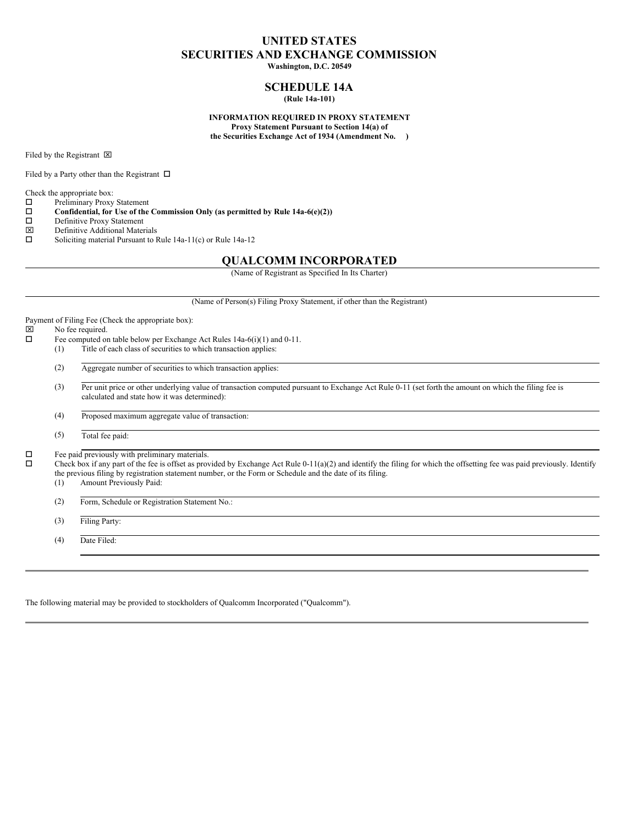## **UNITED STATES SECURITIES AND EXCHANGE COMMISSION Washington, D.C. 20549**

# **SCHEDULE 14A**

**(Rule 14a-101)**

### **INFORMATION REQUIRED IN PROXY STATEMENT Proxy Statement Pursuant to Section 14(a) of**

**the Securities Exchange Act of 1934 (Amendment No. )**

Filed by the Registrant  $\boxtimes$ 

Filed by a Party other than the Registrant  $\Box$ 

Check the appropriate box:<br> $\Box$  Preliminary Proxy

- $\square$  Preliminary Proxy Statement<br> $\square$  Confidential, for Use of the **Confidential, for** Use of the Commission Only (as permitted by Rule  $14a-6(e)(2)$ )<br>Definitive Proxy Statement
- 
- $\square$  Definitive Proxy Statement<br>  $\square$  Definitive Additional Mater  $\boxtimes$  Definitive Additional Materials<br> $\square$  Soliciting material Pursuant to F
- Soliciting material Pursuant to Rule 14a-11(c) or Rule 14a-12

## **QUALCOMM INCORPORATED**

(Name of Registrant as Specified In Its Charter)

(Name of Person(s) Filing Proxy Statement, if other than the Registrant)

Payment of Filing Fee (Check the appropriate box):

# $\boxtimes$  No fee required.<br> $\Box$  Fee computed or

- Fee computed on table below per Exchange Act Rules 14a-6(i)(1) and 0-11.
	- (1) Title of each class of securities to which transaction applies:

(2) Aggregate number of securities to which transaction applies:

(3) Per unit price or other underlying value of transaction computed pursuant to Exchange Act Rule 0-11 (set forth the amount on which the filing fee is calculated and state how it was determined):

(4) Proposed maximum aggregate value of transaction:

(5) Total fee paid:

 $\square$  Fee paid previously with preliminary materials.<br> $\square$  Check box if any part of the fee is offset as prov

o Check box if any part of the fee is offset as provided by Exchange Act Rule 0-11(a)(2) and identify the filing for which the offsetting fee was paid previously. Identify the previous filing by registration statement number, or the Form or Schedule and the date of its filing.

(1) Amount Previously Paid:

(2) Form, Schedule or Registration Statement No.:

(3) Filing Party:

(4) Date Filed:

The following material may be provided to stockholders of Qualcomm Incorporated ("Qualcomm").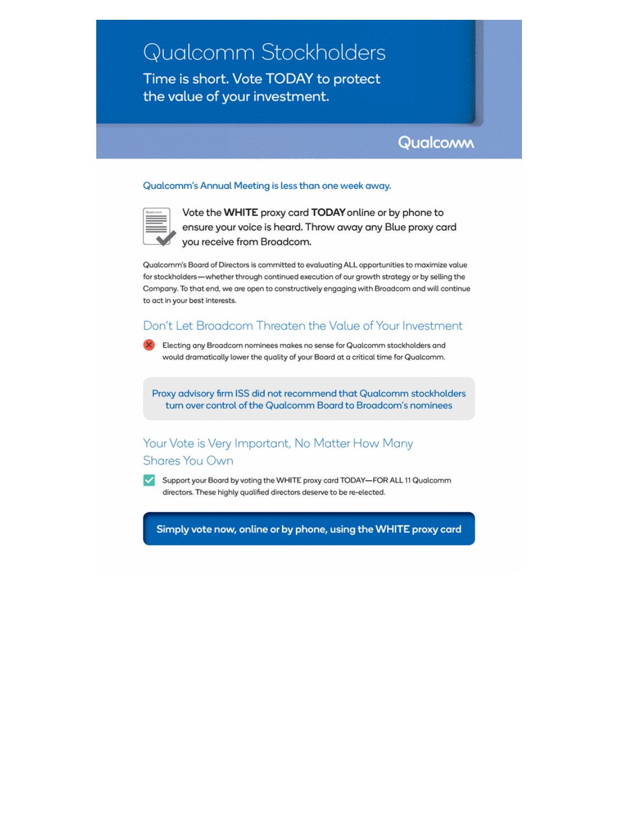# Qualcomm Stockholders

Time is short. Vote TODAY to protect the value of your investment.



## Qualcomm's Annual Meeting is less than one week away.



Vote the WHITE proxy card TODAY online or by phone to ensure your voice is heard. Throw away any Blue proxy card you receive from Broadcom.

Qualcomm's Board of Directors is committed to evaluating ALL opportunities to maximize value for stockholders-whether through continued execution of our growth strategy or by selling the Company. To that end, we are open to constructively engaging with Broadcom and will continue to act in your best interests.

## Don't Let Broadcom Threaten the Value of Your Investment



Proxy advisory firm ISS did not recommend that Qualcomm stockholders turn over control of the Qualcomm Board to Broadcom's nominees

## Your Vote is Very Important, No Matter How Many Shares You Own

 $\blacktriangledown$ Support your Board by voting the WHITE proxy card TODAY-FOR ALL 11 Qualcomm directors. These highly qualified directors deserve to be re-elected.

Simply vote now, online or by phone, using the WHITE proxy card